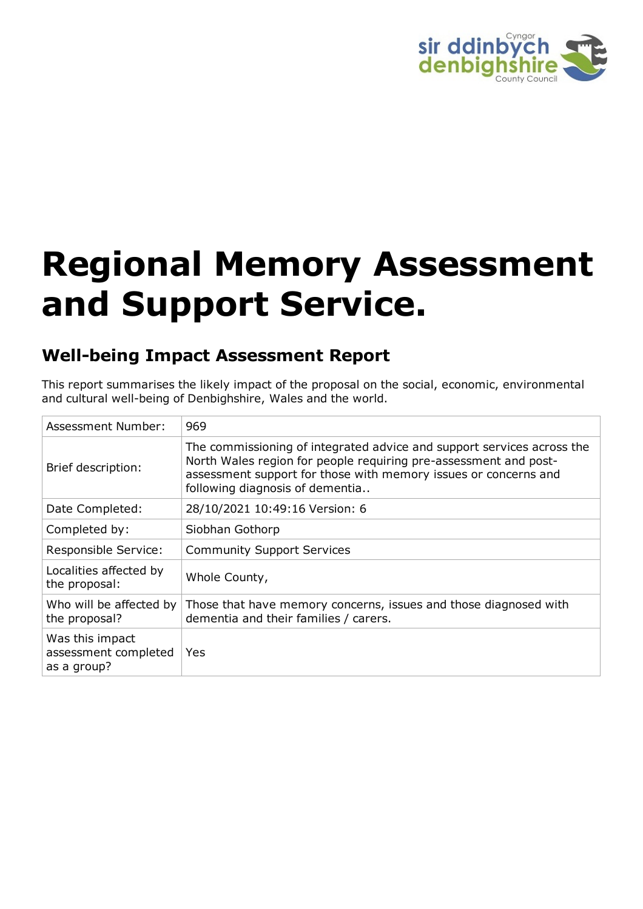

# **Regional Memory Assessment and Support Service.**

# **Well-being Impact Assessment Report**

This report summarises the likely impact of the proposal on the social, economic, environmental and cultural well-being of Denbighshire, Wales and the world.

| Assessment Number:                                     | 969                                                                                                                                                                                                                                              |
|--------------------------------------------------------|--------------------------------------------------------------------------------------------------------------------------------------------------------------------------------------------------------------------------------------------------|
| Brief description:                                     | The commissioning of integrated advice and support services across the<br>North Wales region for people requiring pre-assessment and post-<br>assessment support for those with memory issues or concerns and<br>following diagnosis of dementia |
| Date Completed:                                        | 28/10/2021 10:49:16 Version: 6                                                                                                                                                                                                                   |
| Completed by:                                          | Siobhan Gothorp                                                                                                                                                                                                                                  |
| Responsible Service:                                   | <b>Community Support Services</b>                                                                                                                                                                                                                |
| Localities affected by<br>the proposal:                | Whole County,                                                                                                                                                                                                                                    |
| Who will be affected by<br>the proposal?               | Those that have memory concerns, issues and those diagnosed with<br>dementia and their families / carers.                                                                                                                                        |
| Was this impact<br>assessment completed<br>as a group? | Yes                                                                                                                                                                                                                                              |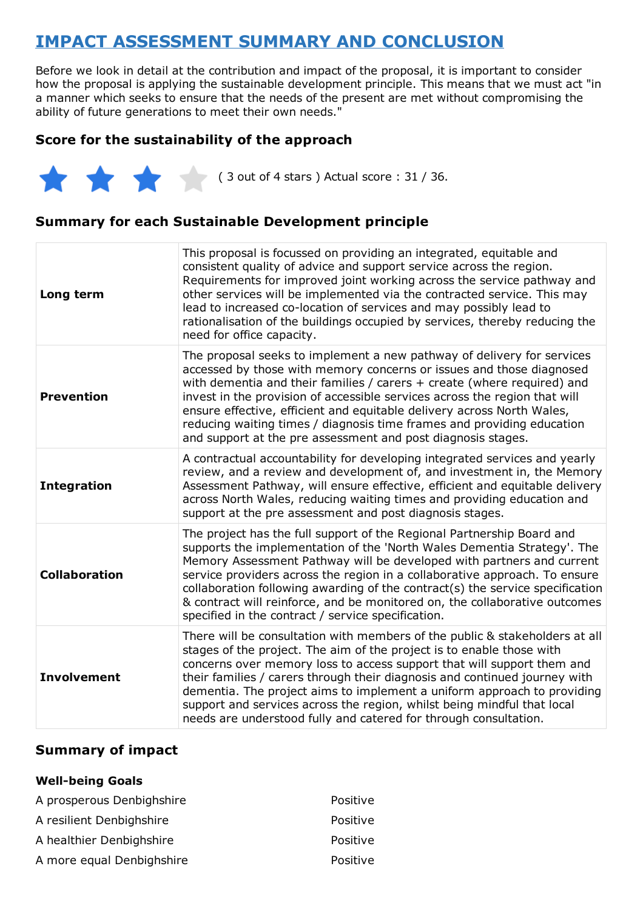# **IMPACT ASSESSMENT SUMMARY AND CONCLUSION**

Before we look in detail at the contribution and impact of the proposal, it is important to consider how the proposal is applying the sustainable development principle. This means that we must act "in a manner which seeks to ensure that the needs of the present are met without compromising the ability of future generations to meet their own needs."

## **Score for the sustainability of the approach**

 $(3 \text{ out of 4 stars})$  Actual score : 31 / 36.

## **Summary for each Sustainable Development principle**

| Long term            | This proposal is focussed on providing an integrated, equitable and<br>consistent quality of advice and support service across the region.<br>Requirements for improved joint working across the service pathway and<br>other services will be implemented via the contracted service. This may<br>lead to increased co-location of services and may possibly lead to<br>rationalisation of the buildings occupied by services, thereby reducing the<br>need for office capacity.                                                      |
|----------------------|----------------------------------------------------------------------------------------------------------------------------------------------------------------------------------------------------------------------------------------------------------------------------------------------------------------------------------------------------------------------------------------------------------------------------------------------------------------------------------------------------------------------------------------|
| <b>Prevention</b>    | The proposal seeks to implement a new pathway of delivery for services<br>accessed by those with memory concerns or issues and those diagnosed<br>with dementia and their families / carers + create (where required) and<br>invest in the provision of accessible services across the region that will<br>ensure effective, efficient and equitable delivery across North Wales,<br>reducing waiting times / diagnosis time frames and providing education<br>and support at the pre assessment and post diagnosis stages.            |
| <b>Integration</b>   | A contractual accountability for developing integrated services and yearly<br>review, and a review and development of, and investment in, the Memory<br>Assessment Pathway, will ensure effective, efficient and equitable delivery<br>across North Wales, reducing waiting times and providing education and<br>support at the pre assessment and post diagnosis stages.                                                                                                                                                              |
| <b>Collaboration</b> | The project has the full support of the Regional Partnership Board and<br>supports the implementation of the 'North Wales Dementia Strategy'. The<br>Memory Assessment Pathway will be developed with partners and current<br>service providers across the region in a collaborative approach. To ensure<br>collaboration following awarding of the contract(s) the service specification<br>& contract will reinforce, and be monitored on, the collaborative outcomes<br>specified in the contract / service specification.          |
| <b>Involvement</b>   | There will be consultation with members of the public & stakeholders at all<br>stages of the project. The aim of the project is to enable those with<br>concerns over memory loss to access support that will support them and<br>their families / carers through their diagnosis and continued journey with<br>dementia. The project aims to implement a uniform approach to providing<br>support and services across the region, whilst being mindful that local<br>needs are understood fully and catered for through consultation. |

#### **Summary of impact**

#### **Well-being Goals**

| A prosperous Denbighshire | Positive |
|---------------------------|----------|
| A resilient Denbighshire  | Positive |
| A healthier Denbighshire  | Positive |
| A more equal Denbighshire | Positive |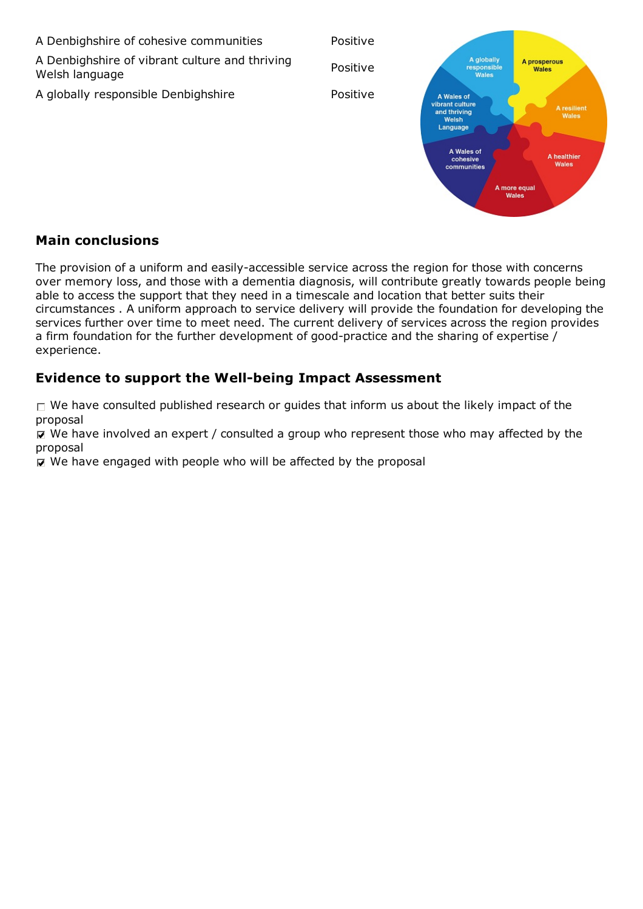A Denbighshire of cohesive communities Positive A globally<br>responsible A Denbighshire of vibrant culture and thriving A prosperous Positive Wales Welsh language **Walee** A globally responsible Denbighshire **Positive** Positive A Wales of vibrant culture A resilient<br>Wales and thriving Welsh Language A Wales of A healthier<br>Wales cohesive communities

> A more equal Wales

#### **Main conclusions**

The provision of a uniform and easily-accessible service across the region for those with concerns over memory loss, and those with a dementia diagnosis, will contribute greatly towards people being able to access the support that they need in a timescale and location that better suits their circumstances . A uniform approach to service delivery will provide the foundation for developing the services further over time to meet need. The current delivery of services across the region provides a firm foundation for the further development of good-practice and the sharing of expertise / experience.

## **Evidence to support the Well-being Impact Assessment**

 $\Box$  We have consulted published research or guides that inform us about the likely impact of the proposal

 $\overline{M}$  We have involved an expert / consulted a group who represent those who may affected by the proposal

 $\nabla$  We have engaged with people who will be affected by the proposal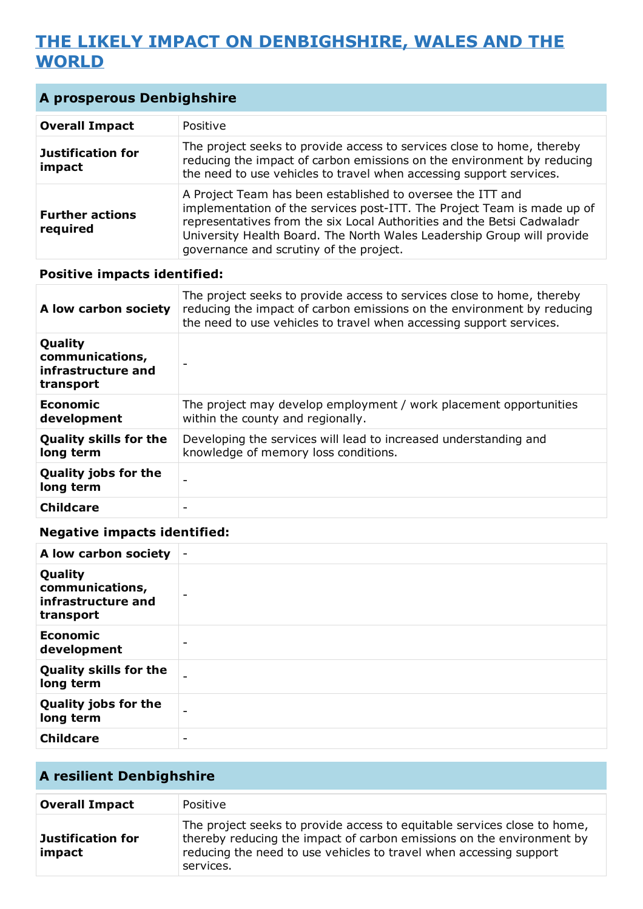# **THE LIKELY IMPACT ON DENBIGHSHIRE, WALES AND THE WORLD**

| <b>A prosperous Denbighshire</b>   |                                                                                                                                                                                                                                                                                                                                      |
|------------------------------------|--------------------------------------------------------------------------------------------------------------------------------------------------------------------------------------------------------------------------------------------------------------------------------------------------------------------------------------|
| <b>Overall Impact</b>              | Positive                                                                                                                                                                                                                                                                                                                             |
| <b>Justification for</b><br>impact | The project seeks to provide access to services close to home, thereby<br>reducing the impact of carbon emissions on the environment by reducing<br>the need to use vehicles to travel when accessing support services.                                                                                                              |
| <b>Further actions</b><br>required | A Project Team has been established to oversee the ITT and<br>implementation of the services post-ITT. The Project Team is made up of<br>representatives from the six Local Authorities and the Betsi Cadwaladr<br>University Health Board. The North Wales Leadership Group will provide<br>governance and scrutiny of the project. |

#### **Positive impacts identified:**

| A low carbon society                                          | The project seeks to provide access to services close to home, thereby<br>reducing the impact of carbon emissions on the environment by reducing<br>the need to use vehicles to travel when accessing support services. |
|---------------------------------------------------------------|-------------------------------------------------------------------------------------------------------------------------------------------------------------------------------------------------------------------------|
| Quality<br>communications,<br>infrastructure and<br>transport |                                                                                                                                                                                                                         |
| <b>Economic</b><br>development                                | The project may develop employment / work placement opportunities<br>within the county and regionally.                                                                                                                  |
| <b>Quality skills for the</b><br>long term                    | Developing the services will lead to increased understanding and<br>knowledge of memory loss conditions.                                                                                                                |
| <b>Quality jobs for the</b><br>long term                      | $\overline{\phantom{0}}$                                                                                                                                                                                                |
| <b>Childcare</b>                                              |                                                                                                                                                                                                                         |

#### **Negative impacts identified:**

| A low carbon society                                          |                          |
|---------------------------------------------------------------|--------------------------|
| Quality<br>communications,<br>infrastructure and<br>transport |                          |
| <b>Economic</b><br>development                                | $\overline{\phantom{0}}$ |
| <b>Quality skills for the</b><br>long term                    |                          |
| <b>Quality jobs for the</b><br>long term                      | $\overline{\phantom{a}}$ |
| <b>Childcare</b>                                              | $\overline{\phantom{a}}$ |

# **A resilient Denbighshire**

| <b>Overall Impact</b>              | Positive                                                                                                                                                                                                                             |
|------------------------------------|--------------------------------------------------------------------------------------------------------------------------------------------------------------------------------------------------------------------------------------|
| <b>Justification for</b><br>impact | The project seeks to provide access to equitable services close to home,<br>thereby reducing the impact of carbon emissions on the environment by<br>reducing the need to use vehicles to travel when accessing support<br>services. |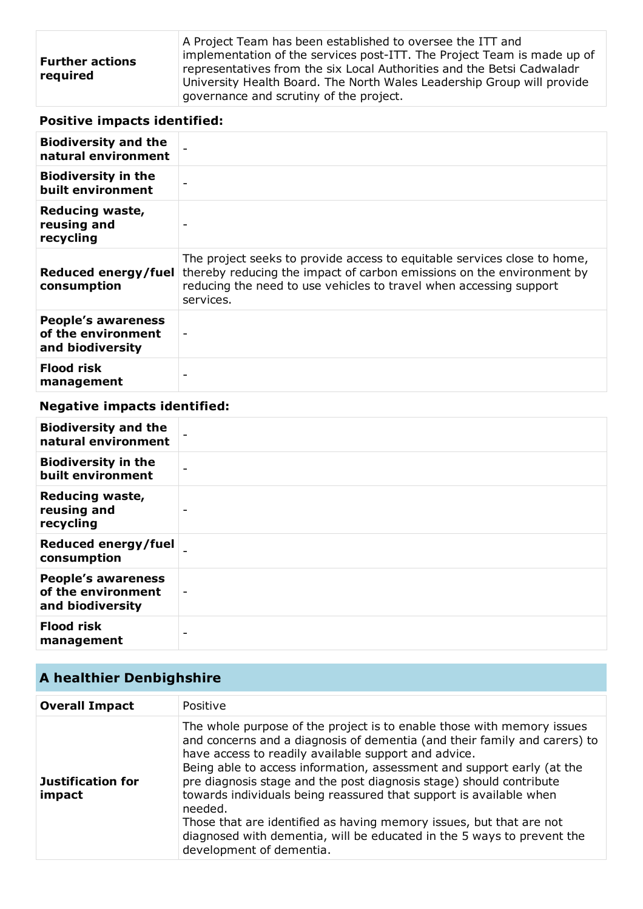| <b>Further actions</b><br>required | A Project Team has been established to oversee the ITT and<br>implementation of the services post-ITT. The Project Team is made up of<br>representatives from the six Local Authorities and the Betsi Cadwaladr<br>University Health Board. The North Wales Leadership Group will provide<br>governance and scrutiny of the project. |
|------------------------------------|--------------------------------------------------------------------------------------------------------------------------------------------------------------------------------------------------------------------------------------------------------------------------------------------------------------------------------------|
|------------------------------------|--------------------------------------------------------------------------------------------------------------------------------------------------------------------------------------------------------------------------------------------------------------------------------------------------------------------------------------|

# **Positive impacts identified:**

| <b>Biodiversity and the</b><br>natural environment                  |                                                                                                                                                                                                                                      |
|---------------------------------------------------------------------|--------------------------------------------------------------------------------------------------------------------------------------------------------------------------------------------------------------------------------------|
| <b>Biodiversity in the</b><br>built environment                     |                                                                                                                                                                                                                                      |
| Reducing waste,<br>reusing and<br>recycling                         |                                                                                                                                                                                                                                      |
| Reduced energy/fuel<br>consumption                                  | The project seeks to provide access to equitable services close to home,<br>thereby reducing the impact of carbon emissions on the environment by<br>reducing the need to use vehicles to travel when accessing support<br>services. |
| <b>People's awareness</b><br>of the environment<br>and biodiversity |                                                                                                                                                                                                                                      |
| <b>Flood risk</b><br>management                                     |                                                                                                                                                                                                                                      |

# **Negative impacts identified:**

| <b>Biodiversity and the</b><br>natural environment                  |                          |
|---------------------------------------------------------------------|--------------------------|
| <b>Biodiversity in the</b><br>built environment                     |                          |
| <b>Reducing waste,</b><br>reusing and<br>recycling                  |                          |
| Reduced energy/fuel<br>consumption                                  |                          |
| <b>People's awareness</b><br>of the environment<br>and biodiversity | $\overline{\phantom{a}}$ |
| <b>Flood risk</b><br>management                                     | -                        |

# **A healthier Denbighshire**

| <b>Overall Impact</b>              | Positive                                                                                                                                                                                                                                                                                                                                                                                                                                                                                                                                                                                                                   |
|------------------------------------|----------------------------------------------------------------------------------------------------------------------------------------------------------------------------------------------------------------------------------------------------------------------------------------------------------------------------------------------------------------------------------------------------------------------------------------------------------------------------------------------------------------------------------------------------------------------------------------------------------------------------|
| <b>Justification for</b><br>impact | The whole purpose of the project is to enable those with memory issues<br>and concerns and a diagnosis of dementia (and their family and carers) to<br>have access to readily available support and advice.<br>Being able to access information, assessment and support early (at the<br>pre diagnosis stage and the post diagnosis stage) should contribute<br>towards individuals being reassured that support is available when<br>needed.<br>Those that are identified as having memory issues, but that are not<br>diagnosed with dementia, will be educated in the 5 ways to prevent the<br>development of dementia. |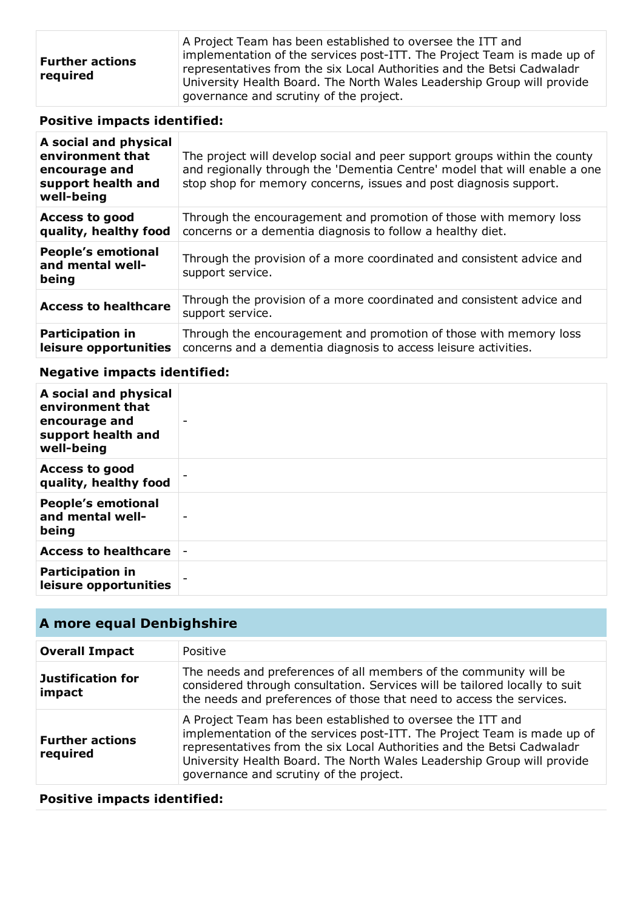# **Positive impacts identified:**

| A social and physical<br>environment that<br>encourage and<br>support health and<br>well-being | The project will develop social and peer support groups within the county<br>and regionally through the 'Dementia Centre' model that will enable a one<br>stop shop for memory concerns, issues and post diagnosis support. |
|------------------------------------------------------------------------------------------------|-----------------------------------------------------------------------------------------------------------------------------------------------------------------------------------------------------------------------------|
| <b>Access to good</b><br>quality, healthy food                                                 | Through the encouragement and promotion of those with memory loss<br>concerns or a dementia diagnosis to follow a healthy diet.                                                                                             |
| <b>People's emotional</b><br>and mental well-<br>being                                         | Through the provision of a more coordinated and consistent advice and<br>support service.                                                                                                                                   |
| <b>Access to healthcare</b>                                                                    | Through the provision of a more coordinated and consistent advice and<br>support service.                                                                                                                                   |
| <b>Participation in</b><br>leisure opportunities                                               | Through the encouragement and promotion of those with memory loss<br>concerns and a dementia diagnosis to access leisure activities.                                                                                        |

## **Negative impacts identified:**

| A social and physical<br>environment that<br>encourage and<br>support health and<br>well-being | $\overline{\phantom{0}}$ |
|------------------------------------------------------------------------------------------------|--------------------------|
| <b>Access to good</b><br>quality, healthy food                                                 |                          |
| <b>People's emotional</b><br>and mental well-<br>being                                         | $\overline{\phantom{0}}$ |
| <b>Access to healthcare</b>                                                                    |                          |
| <b>Participation in</b><br>leisure opportunities                                               |                          |

# **A more equal Denbighshire**

| <b>Overall Impact</b>              | Positive                                                                                                                                                                                                                                                                                                                             |
|------------------------------------|--------------------------------------------------------------------------------------------------------------------------------------------------------------------------------------------------------------------------------------------------------------------------------------------------------------------------------------|
| <b>Justification for</b><br>impact | The needs and preferences of all members of the community will be<br>considered through consultation. Services will be tailored locally to suit<br>the needs and preferences of those that need to access the services.                                                                                                              |
| <b>Further actions</b><br>required | A Project Team has been established to oversee the ITT and<br>implementation of the services post-ITT. The Project Team is made up of<br>representatives from the six Local Authorities and the Betsi Cadwaladr<br>University Health Board. The North Wales Leadership Group will provide<br>governance and scrutiny of the project. |

# **Positive impacts identified:**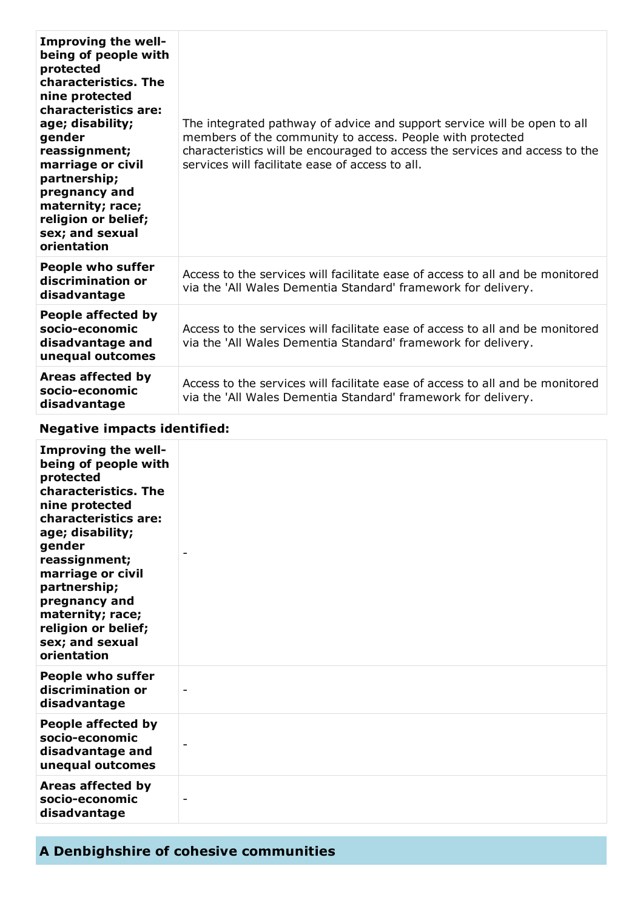| Improving the well-<br>being of people with<br>protected<br>characteristics. The<br>nine protected<br>characteristics are:<br>age; disability;<br>gender<br>reassignment;<br>marriage or civil<br>partnership;<br>pregnancy and<br>maternity; race;<br>religion or belief;<br>sex; and sexual<br>orientation | The integrated pathway of advice and support service will be open to all<br>members of the community to access. People with protected<br>characteristics will be encouraged to access the services and access to the<br>services will facilitate ease of access to all. |
|--------------------------------------------------------------------------------------------------------------------------------------------------------------------------------------------------------------------------------------------------------------------------------------------------------------|-------------------------------------------------------------------------------------------------------------------------------------------------------------------------------------------------------------------------------------------------------------------------|
| <b>People who suffer</b><br>discrimination or<br>disadvantage                                                                                                                                                                                                                                                | Access to the services will facilitate ease of access to all and be monitored<br>via the 'All Wales Dementia Standard' framework for delivery.                                                                                                                          |
| People affected by<br>socio-economic<br>disadvantage and<br>unequal outcomes                                                                                                                                                                                                                                 | Access to the services will facilitate ease of access to all and be monitored<br>via the 'All Wales Dementia Standard' framework for delivery.                                                                                                                          |
| Areas affected by<br>socio-economic<br>disadvantage                                                                                                                                                                                                                                                          | Access to the services will facilitate ease of access to all and be monitored<br>via the 'All Wales Dementia Standard' framework for delivery.                                                                                                                          |

# **Negative impacts identified:**

| <b>Improving the well-</b><br>being of people with<br>protected<br>characteristics. The<br>nine protected<br>characteristics are:<br>age; disability;<br>gender<br>reassignment;<br>marriage or civil<br>partnership;<br>pregnancy and<br>maternity; race;<br>religion or belief;<br>sex; and sexual<br>orientation |                          |
|---------------------------------------------------------------------------------------------------------------------------------------------------------------------------------------------------------------------------------------------------------------------------------------------------------------------|--------------------------|
| <b>People who suffer</b><br>discrimination or<br>disadvantage                                                                                                                                                                                                                                                       | $\overline{\phantom{a}}$ |
| People affected by<br>socio-economic<br>disadvantage and<br>unequal outcomes                                                                                                                                                                                                                                        |                          |
| Areas affected by<br>socio-economic<br>disadvantage                                                                                                                                                                                                                                                                 | $\overline{\phantom{0}}$ |

# **A Denbighshire of cohesive communities**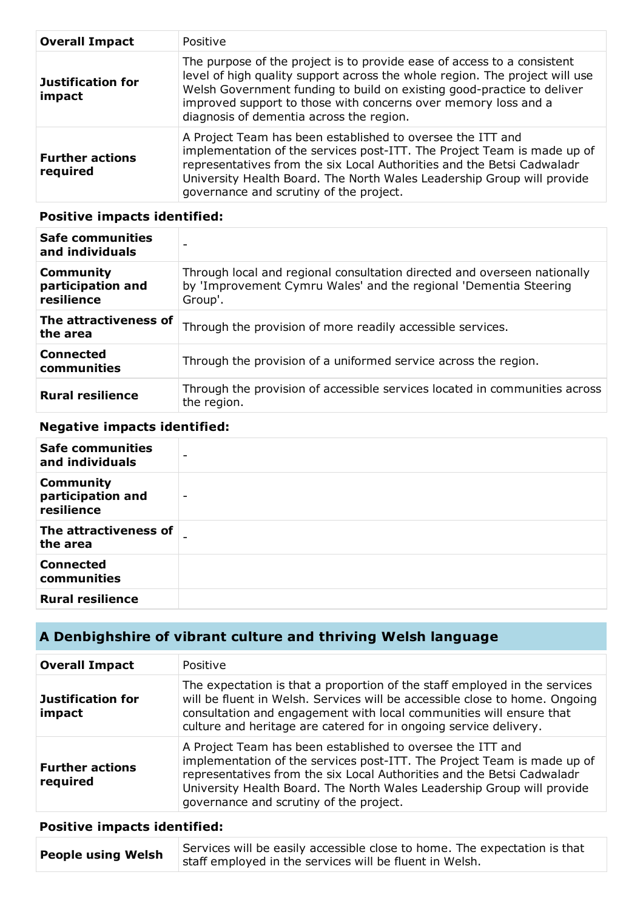| <b>Overall Impact</b>              | Positive                                                                                                                                                                                                                                                                                                                                       |
|------------------------------------|------------------------------------------------------------------------------------------------------------------------------------------------------------------------------------------------------------------------------------------------------------------------------------------------------------------------------------------------|
| <b>Justification for</b><br>impact | The purpose of the project is to provide ease of access to a consistent<br>level of high quality support across the whole region. The project will use<br>Welsh Government funding to build on existing good-practice to deliver<br>improved support to those with concerns over memory loss and a<br>diagnosis of dementia across the region. |
| <b>Further actions</b><br>required | A Project Team has been established to oversee the ITT and<br>implementation of the services post-ITT. The Project Team is made up of<br>representatives from the six Local Authorities and the Betsi Cadwaladr<br>University Health Board. The North Wales Leadership Group will provide<br>governance and scrutiny of the project.           |

#### **Positive impacts identified:**

| <b>Safe communities</b><br>and individuals          |                                                                                                                                                         |
|-----------------------------------------------------|---------------------------------------------------------------------------------------------------------------------------------------------------------|
| <b>Community</b><br>participation and<br>resilience | Through local and regional consultation directed and overseen nationally<br>by 'Improvement Cymru Wales' and the regional 'Dementia Steering<br>Group'. |
| The attractiveness of<br>the area                   | Through the provision of more readily accessible services.                                                                                              |
| <b>Connected</b><br>communities                     | Through the provision of a uniformed service across the region.                                                                                         |
| <b>Rural resilience</b>                             | Through the provision of accessible services located in communities across<br>the region.                                                               |

# **Negative impacts identified:**

| <b>Safe communities</b><br>and individuals          |                          |
|-----------------------------------------------------|--------------------------|
| <b>Community</b><br>participation and<br>resilience | $\overline{\phantom{0}}$ |
| The attractiveness of<br>the area                   | $\overline{\phantom{0}}$ |
| <b>Connected</b><br>communities                     |                          |
| <b>Rural resilience</b>                             |                          |

# **A Denbighshire of vibrant culture and thriving Welsh language**

| <b>Overall Impact</b>              | Positive                                                                                                                                                                                                                                                                                                                             |
|------------------------------------|--------------------------------------------------------------------------------------------------------------------------------------------------------------------------------------------------------------------------------------------------------------------------------------------------------------------------------------|
| <b>Justification for</b><br>impact | The expectation is that a proportion of the staff employed in the services<br>will be fluent in Welsh. Services will be accessible close to home. Ongoing<br>consultation and engagement with local communities will ensure that<br>culture and heritage are catered for in ongoing service delivery.                                |
| <b>Further actions</b><br>required | A Project Team has been established to oversee the ITT and<br>implementation of the services post-ITT. The Project Team is made up of<br>representatives from the six Local Authorities and the Betsi Cadwaladr<br>University Health Board. The North Wales Leadership Group will provide<br>governance and scrutiny of the project. |

# **Positive impacts identified:**

| <b>People using Welsh</b> | Services will be easily accessible close to home. The expectation is that |
|---------------------------|---------------------------------------------------------------------------|
|                           | staff employed in the services will be fluent in Welsh.                   |